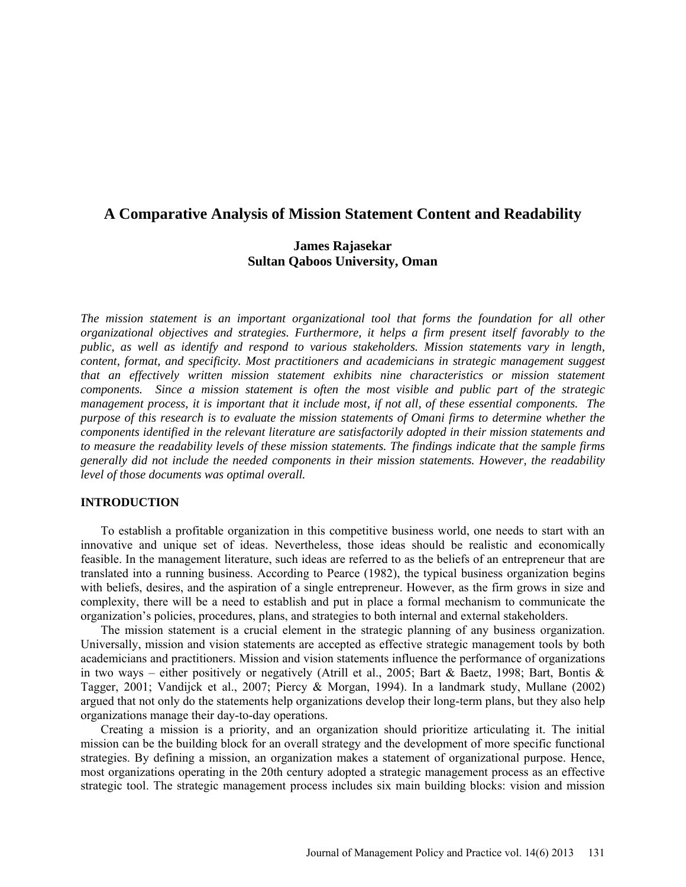## **A Comparative Analysis of Mission Statement Content and Readability**

## **James Rajasekar Sultan Qaboos University, Oman**

*The mission statement is an important organizational tool that forms the foundation for all other organizational objectives and strategies. Furthermore, it helps a firm present itself favorably to the public, as well as identify and respond to various stakeholders. Mission statements vary in length, content, format, and specificity. Most practitioners and academicians in strategic management suggest that an effectively written mission statement exhibits nine characteristics or mission statement components. Since a mission statement is often the most visible and public part of the strategic management process, it is important that it include most, if not all, of these essential components. The purpose of this research is to evaluate the mission statements of Omani firms to determine whether the components identified in the relevant literature are satisfactorily adopted in their mission statements and to measure the readability levels of these mission statements. The findings indicate that the sample firms generally did not include the needed components in their mission statements. However, the readability level of those documents was optimal overall.*

#### **INTRODUCTION**

To establish a profitable organization in this competitive business world, one needs to start with an innovative and unique set of ideas. Nevertheless, those ideas should be realistic and economically feasible. In the management literature, such ideas are referred to as the beliefs of an entrepreneur that are translated into a running business. According to Pearce (1982), the typical business organization begins with beliefs, desires, and the aspiration of a single entrepreneur. However, as the firm grows in size and complexity, there will be a need to establish and put in place a formal mechanism to communicate the organization's policies, procedures, plans, and strategies to both internal and external stakeholders.

The mission statement is a crucial element in the strategic planning of any business organization. Universally, mission and vision statements are accepted as effective strategic management tools by both academicians and practitioners. Mission and vision statements influence the performance of organizations in two ways – either positively or negatively (Atrill et al., 2005; Bart & Baetz, 1998; Bart, Bontis & Tagger, 2001; Vandijck et al., 2007; Piercy & Morgan, 1994). In a landmark study, Mullane (2002) argued that not only do the statements help organizations develop their long-term plans, but they also help organizations manage their day-to-day operations.

Creating a mission is a priority, and an organization should prioritize articulating it. The initial mission can be the building block for an overall strategy and the development of more specific functional strategies. By defining a mission, an organization makes a statement of organizational purpose. Hence, most organizations operating in the 20th century adopted a strategic management process as an effective strategic tool. The strategic management process includes six main building blocks: vision and mission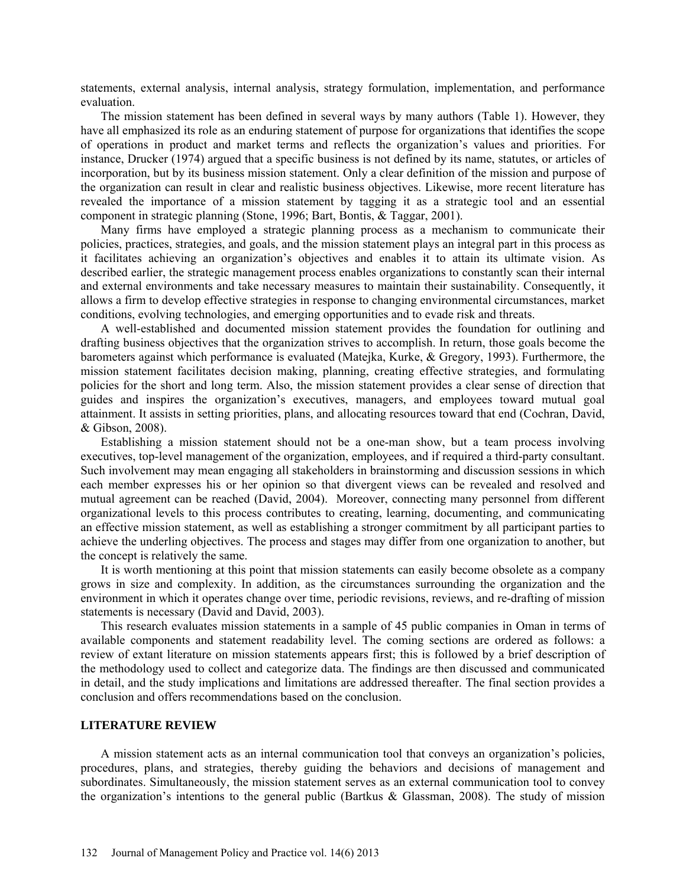statements, external analysis, internal analysis, strategy formulation, implementation, and performance evaluation.

The mission statement has been defined in several ways by many authors (Table 1). However, they have all emphasized its role as an enduring statement of purpose for organizations that identifies the scope of operations in product and market terms and reflects the organization's values and priorities. For instance, Drucker (1974) argued that a specific business is not defined by its name, statutes, or articles of incorporation, but by its business mission statement. Only a clear definition of the mission and purpose of the organization can result in clear and realistic business objectives. Likewise, more recent literature has revealed the importance of a mission statement by tagging it as a strategic tool and an essential component in strategic planning (Stone, 1996; Bart, Bontis, & Taggar, 2001).

Many firms have employed a strategic planning process as a mechanism to communicate their policies, practices, strategies, and goals, and the mission statement plays an integral part in this process as it facilitates achieving an organization's objectives and enables it to attain its ultimate vision. As described earlier, the strategic management process enables organizations to constantly scan their internal and external environments and take necessary measures to maintain their sustainability. Consequently, it allows a firm to develop effective strategies in response to changing environmental circumstances, market conditions, evolving technologies, and emerging opportunities and to evade risk and threats.

A well-established and documented mission statement provides the foundation for outlining and drafting business objectives that the organization strives to accomplish. In return, those goals become the barometers against which performance is evaluated (Matejka, Kurke, & Gregory, 1993). Furthermore, the mission statement facilitates decision making, planning, creating effective strategies, and formulating policies for the short and long term. Also, the mission statement provides a clear sense of direction that guides and inspires the organization's executives, managers, and employees toward mutual goal attainment. It assists in setting priorities, plans, and allocating resources toward that end (Cochran, David, & Gibson, 2008).

Establishing a mission statement should not be a one-man show, but a team process involving executives, top-level management of the organization, employees, and if required a third-party consultant. Such involvement may mean engaging all stakeholders in brainstorming and discussion sessions in which each member expresses his or her opinion so that divergent views can be revealed and resolved and mutual agreement can be reached (David, 2004). Moreover, connecting many personnel from different organizational levels to this process contributes to creating, learning, documenting, and communicating an effective mission statement, as well as establishing a stronger commitment by all participant parties to achieve the underling objectives. The process and stages may differ from one organization to another, but the concept is relatively the same.

It is worth mentioning at this point that mission statements can easily become obsolete as a company grows in size and complexity. In addition, as the circumstances surrounding the organization and the environment in which it operates change over time, periodic revisions, reviews, and re-drafting of mission statements is necessary (David and David, 2003).

This research evaluates mission statements in a sample of 45 public companies in Oman in terms of available components and statement readability level. The coming sections are ordered as follows: a review of extant literature on mission statements appears first; this is followed by a brief description of the methodology used to collect and categorize data. The findings are then discussed and communicated in detail, and the study implications and limitations are addressed thereafter. The final section provides a conclusion and offers recommendations based on the conclusion.

#### **LITERATURE REVIEW**

A mission statement acts as an internal communication tool that conveys an organization's policies, procedures, plans, and strategies, thereby guiding the behaviors and decisions of management and subordinates. Simultaneously, the mission statement serves as an external communication tool to convey the organization's intentions to the general public (Bartkus & Glassman, 2008). The study of mission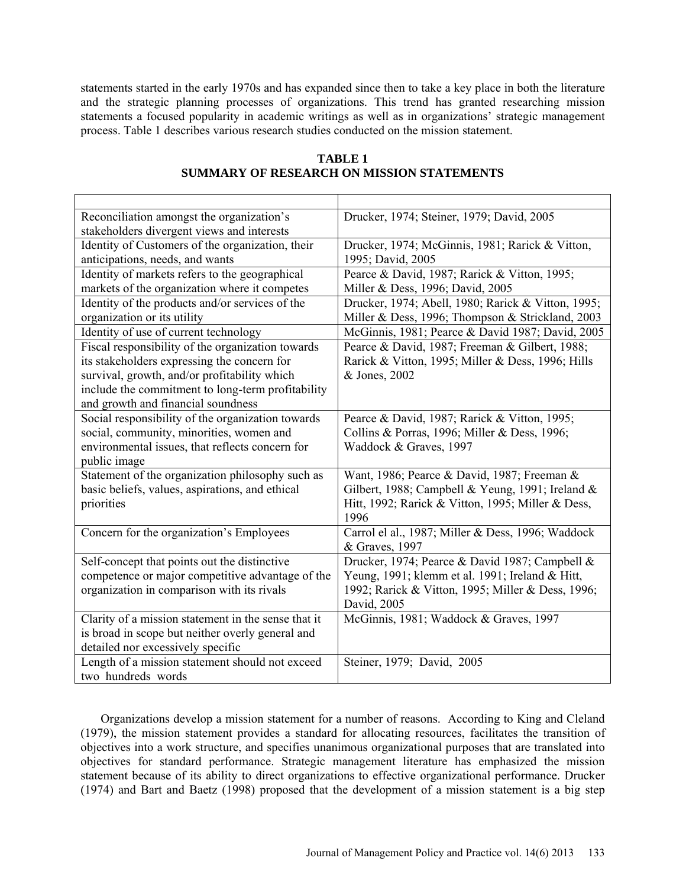statements started in the early 1970s and has expanded since then to take a key place in both the literature and the strategic planning processes of organizations. This trend has granted researching mission statements a focused popularity in academic writings as well as in organizations' strategic management process. Table 1 describes various research studies conducted on the mission statement.

| Reconciliation amongst the organization's           | Drucker, 1974; Steiner, 1979; David, 2005          |
|-----------------------------------------------------|----------------------------------------------------|
| stakeholders divergent views and interests          |                                                    |
| Identity of Customers of the organization, their    | Drucker, 1974; McGinnis, 1981; Rarick & Vitton,    |
| anticipations, needs, and wants                     | 1995; David, 2005                                  |
| Identity of markets refers to the geographical      | Pearce & David, 1987; Rarick & Vitton, 1995;       |
| markets of the organization where it competes       | Miller & Dess, 1996; David, 2005                   |
| Identity of the products and/or services of the     | Drucker, 1974; Abell, 1980; Rarick & Vitton, 1995; |
| organization or its utility                         | Miller & Dess, 1996; Thompson & Strickland, 2003   |
| Identity of use of current technology               | McGinnis, 1981; Pearce & David 1987; David, 2005   |
| Fiscal responsibility of the organization towards   | Pearce & David, 1987; Freeman & Gilbert, 1988;     |
| its stakeholders expressing the concern for         | Rarick & Vitton, 1995; Miller & Dess, 1996; Hills  |
| survival, growth, and/or profitability which        | & Jones, 2002                                      |
| include the commitment to long-term profitability   |                                                    |
| and growth and financial soundness                  |                                                    |
| Social responsibility of the organization towards   | Pearce & David, 1987; Rarick & Vitton, 1995;       |
| social, community, minorities, women and            | Collins & Porras, 1996; Miller & Dess, 1996;       |
| environmental issues, that reflects concern for     | Waddock & Graves, 1997                             |
| public image                                        |                                                    |
| Statement of the organization philosophy such as    | Want, 1986; Pearce & David, 1987; Freeman &        |
| basic beliefs, values, aspirations, and ethical     | Gilbert, 1988; Campbell & Yeung, 1991; Ireland &   |
| priorities                                          | Hitt, 1992; Rarick & Vitton, 1995; Miller & Dess,  |
|                                                     | 1996                                               |
| Concern for the organization's Employees            | Carrol el al., 1987; Miller & Dess, 1996; Waddock  |
|                                                     | & Graves, 1997                                     |
| Self-concept that points out the distinctive        | Drucker, 1974; Pearce & David 1987; Campbell &     |
| competence or major competitive advantage of the    | Yeung, 1991; klemm et al. 1991; Ireland & Hitt,    |
| organization in comparison with its rivals          | 1992; Rarick & Vitton, 1995; Miller & Dess, 1996;  |
|                                                     | David, 2005                                        |
| Clarity of a mission statement in the sense that it | McGinnis, 1981; Waddock & Graves, 1997             |
| is broad in scope but neither overly general and    |                                                    |
| detailed nor excessively specific                   |                                                    |
| Length of a mission statement should not exceed     | Steiner, 1979; David, 2005                         |
| two hundreds words                                  |                                                    |

## **TABLE 1 SUMMARY OF RESEARCH ON MISSION STATEMENTS**

Organizations develop a mission statement for a number of reasons. According to King and Cleland (1979), the mission statement provides a standard for allocating resources, facilitates the transition of objectives into a work structure, and specifies unanimous organizational purposes that are translated into objectives for standard performance. Strategic management literature has emphasized the mission statement because of its ability to direct organizations to effective organizational performance. Drucker (1974) and Bart and Baetz (1998) proposed that the development of a mission statement is a big step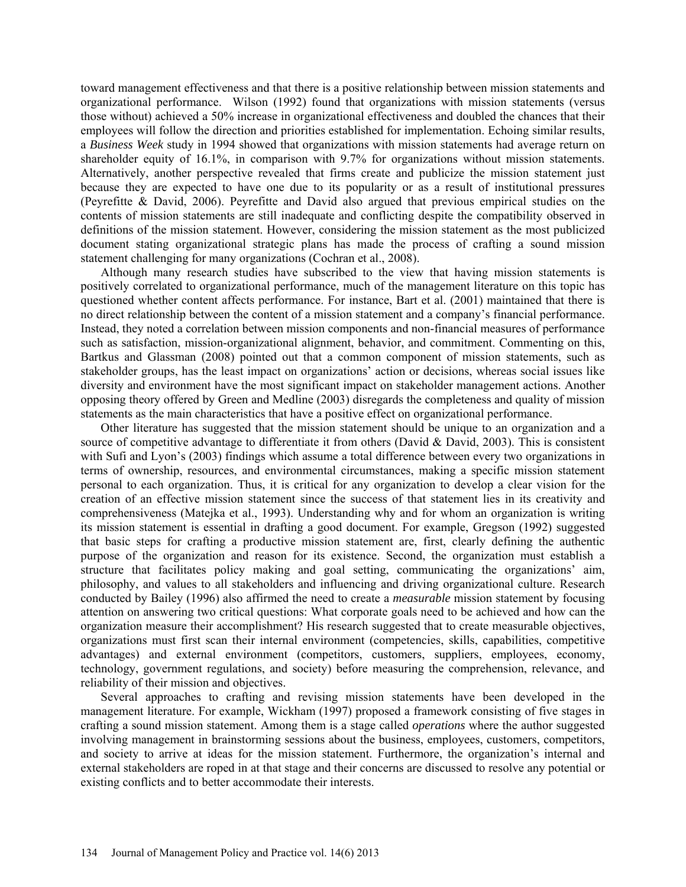toward management effectiveness and that there is a positive relationship between mission statements and organizational performance. Wilson (1992) found that organizations with mission statements (versus those without) achieved a 50% increase in organizational effectiveness and doubled the chances that their employees will follow the direction and priorities established for implementation. Echoing similar results, a *Business Week* study in 1994 showed that organizations with mission statements had average return on shareholder equity of 16.1%, in comparison with 9.7% for organizations without mission statements. Alternatively, another perspective revealed that firms create and publicize the mission statement just because they are expected to have one due to its popularity or as a result of institutional pressures (Peyrefitte & David, 2006). Peyrefitte and David also argued that previous empirical studies on the contents of mission statements are still inadequate and conflicting despite the compatibility observed in definitions of the mission statement. However, considering the mission statement as the most publicized document stating organizational strategic plans has made the process of crafting a sound mission statement challenging for many organizations (Cochran et al., 2008).

Although many research studies have subscribed to the view that having mission statements is positively correlated to organizational performance, much of the management literature on this topic has questioned whether content affects performance. For instance, Bart et al. (2001) maintained that there is no direct relationship between the content of a mission statement and a company's financial performance. Instead, they noted a correlation between mission components and non-financial measures of performance such as satisfaction, mission-organizational alignment, behavior, and commitment. Commenting on this, Bartkus and Glassman (2008) pointed out that a common component of mission statements, such as stakeholder groups, has the least impact on organizations' action or decisions, whereas social issues like diversity and environment have the most significant impact on stakeholder management actions. Another opposing theory offered by Green and Medline (2003) disregards the completeness and quality of mission statements as the main characteristics that have a positive effect on organizational performance.

Other literature has suggested that the mission statement should be unique to an organization and a source of competitive advantage to differentiate it from others (David & David, 2003). This is consistent with Sufi and Lyon's (2003) findings which assume a total difference between every two organizations in terms of ownership, resources, and environmental circumstances, making a specific mission statement personal to each organization. Thus, it is critical for any organization to develop a clear vision for the creation of an effective mission statement since the success of that statement lies in its creativity and comprehensiveness (Matejka et al., 1993). Understanding why and for whom an organization is writing its mission statement is essential in drafting a good document. For example, Gregson (1992) suggested that basic steps for crafting a productive mission statement are, first, clearly defining the authentic purpose of the organization and reason for its existence. Second, the organization must establish a structure that facilitates policy making and goal setting, communicating the organizations' aim, philosophy, and values to all stakeholders and influencing and driving organizational culture. Research conducted by Bailey (1996) also affirmed the need to create a *measurable* mission statement by focusing attention on answering two critical questions: What corporate goals need to be achieved and how can the organization measure their accomplishment? His research suggested that to create measurable objectives, organizations must first scan their internal environment (competencies, skills, capabilities, competitive advantages) and external environment (competitors, customers, suppliers, employees, economy, technology, government regulations, and society) before measuring the comprehension, relevance, and reliability of their mission and objectives.

Several approaches to crafting and revising mission statements have been developed in the management literature. For example, Wickham (1997) proposed a framework consisting of five stages in crafting a sound mission statement. Among them is a stage called *operations* where the author suggested involving management in brainstorming sessions about the business, employees, customers, competitors, and society to arrive at ideas for the mission statement. Furthermore, the organization's internal and external stakeholders are roped in at that stage and their concerns are discussed to resolve any potential or existing conflicts and to better accommodate their interests.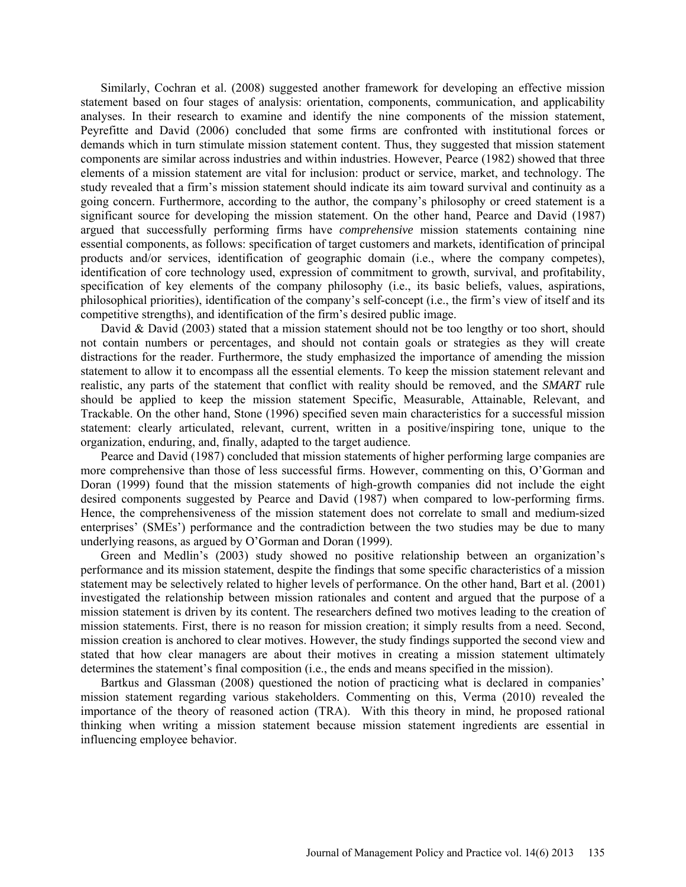Similarly, Cochran et al. (2008) suggested another framework for developing an effective mission statement based on four stages of analysis: orientation, components, communication, and applicability analyses. In their research to examine and identify the nine components of the mission statement, Peyrefitte and David (2006) concluded that some firms are confronted with institutional forces or demands which in turn stimulate mission statement content. Thus, they suggested that mission statement components are similar across industries and within industries. However, Pearce (1982) showed that three elements of a mission statement are vital for inclusion: product or service, market, and technology. The study revealed that a firm's mission statement should indicate its aim toward survival and continuity as a going concern. Furthermore, according to the author, the company's philosophy or creed statement is a significant source for developing the mission statement. On the other hand, Pearce and David (1987) argued that successfully performing firms have *comprehensive* mission statements containing nine essential components, as follows: specification of target customers and markets, identification of principal products and/or services, identification of geographic domain (i.e., where the company competes), identification of core technology used, expression of commitment to growth, survival, and profitability, specification of key elements of the company philosophy (i.e., its basic beliefs, values, aspirations, philosophical priorities), identification of the company's self-concept (i.e., the firm's view of itself and its competitive strengths), and identification of the firm's desired public image.

David & David (2003) stated that a mission statement should not be too lengthy or too short, should not contain numbers or percentages, and should not contain goals or strategies as they will create distractions for the reader. Furthermore, the study emphasized the importance of amending the mission statement to allow it to encompass all the essential elements. To keep the mission statement relevant and realistic, any parts of the statement that conflict with reality should be removed, and the *SMART* rule should be applied to keep the mission statement Specific, Measurable, Attainable, Relevant, and Trackable. On the other hand, Stone (1996) specified seven main characteristics for a successful mission statement: clearly articulated, relevant, current, written in a positive/inspiring tone, unique to the organization, enduring, and, finally, adapted to the target audience.

Pearce and David (1987) concluded that mission statements of higher performing large companies are more comprehensive than those of less successful firms. However, commenting on this, O'Gorman and Doran (1999) found that the mission statements of high-growth companies did not include the eight desired components suggested by Pearce and David (1987) when compared to low-performing firms. Hence, the comprehensiveness of the mission statement does not correlate to small and medium-sized enterprises' (SMEs') performance and the contradiction between the two studies may be due to many underlying reasons, as argued by O'Gorman and Doran (1999).

[Green a](javascript:void(0);)nd [Medlin'](javascript:void(0);)s (2003) study showed no positive relationship between an organization's performance and its mission statement, despite the findings that some specific characteristics of a mission statement may be selectively related to higher levels of performance. On the other hand, Bart et al. (2001) investigated the relationship between mission rationales and content and argued that the purpose of a mission statement is driven by its content. The researchers defined two motives leading to the creation of mission statements. First, there is no reason for mission creation; it simply results from a need. Second, mission creation is anchored to clear motives. However, the study findings supported the second view and stated that how clear managers are about their motives in creating a mission statement ultimately determines the statement's final composition (i.e., the ends and means specified in the mission).

Bartkus and Glassman (2008) questioned the notion of practicing what is declared in companies' mission statement regarding various stakeholders. Commenting on this, Verma (2010) revealed the importance of the theory of reasoned action (TRA). With this theory in mind, he proposed rational thinking when writing a mission statement because mission statement ingredients are essential in influencing employee behavior.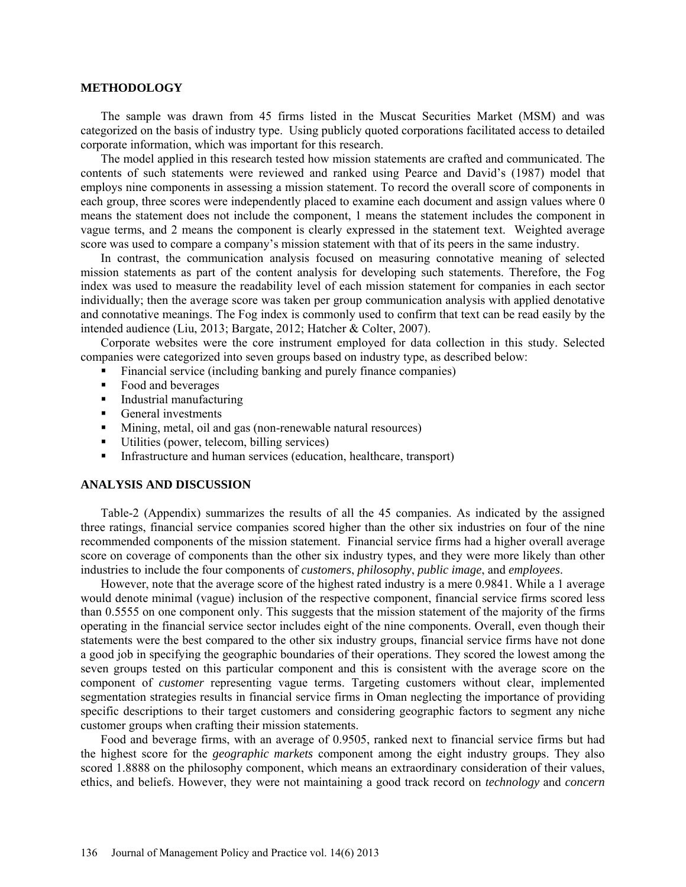#### **METHODOLOGY**

The sample was drawn from 45 firms listed in the Muscat Securities Market (MSM) and was categorized on the basis of industry type. Using publicly quoted corporations facilitated access to detailed corporate information, which was important for this research.

The model applied in this research tested how mission statements are crafted and communicated. The contents of such statements were reviewed and ranked using Pearce and David's (1987) model that employs nine components in assessing a mission statement. To record the overall score of components in each group, three scores were independently placed to examine each document and assign values where 0 means the statement does not include the component, 1 means the statement includes the component in vague terms, and 2 means the component is clearly expressed in the statement text. Weighted average score was used to compare a company's mission statement with that of its peers in the same industry.

In contrast, the communication analysis focused on measuring connotative meaning of selected mission statements as part of the content analysis for developing such statements. Therefore, the Fog index was used to measure the readability level of each mission statement for companies in each sector individually; then the average score was taken per group communication analysis with applied denotative and connotative meanings. The Fog index is commonly used to confirm that text can be read easily by the intended audience (Liu, 2013; Bargate, 2012; Hatcher & Colter, 2007).

Corporate websites were the core instrument employed for data collection in this study. Selected companies were categorized into seven groups based on industry type, as described below:

- Financial service (including banking and purely finance companies)
- Food and beverages
- **Industrial manufacturing**
- General investments
- Mining, metal, oil and gas (non-renewable natural resources)
- Utilities (power, telecom, billing services)
- Infrastructure and human services (education, healthcare, transport)

#### **ANALYSIS AND DISCUSSION**

Table-2 (Appendix) summarizes the results of all the 45 companies. As indicated by the assigned three ratings, financial service companies scored higher than the other six industries on four of the nine recommended components of the mission statement. Financial service firms had a higher overall average score on coverage of components than the other six industry types, and they were more likely than other industries to include the four components of *customers*, *philosophy*, *public image*, and *employees*.

However, note that the average score of the highest rated industry is a mere 0.9841. While a 1 average would denote minimal (vague) inclusion of the respective component, financial service firms scored less than 0.5555 on one component only. This suggests that the mission statement of the majority of the firms operating in the financial service sector includes eight of the nine components. Overall, even though their statements were the best compared to the other six industry groups, financial service firms have not done a good job in specifying the geographic boundaries of their operations. They scored the lowest among the seven groups tested on this particular component and this is consistent with the average score on the component of *customer* representing vague terms. Targeting customers without clear, implemented segmentation strategies results in financial service firms in Oman neglecting the importance of providing specific descriptions to their target customers and considering geographic factors to segment any niche customer groups when crafting their mission statements.

Food and beverage firms, with an average of 0.9505, ranked next to financial service firms but had the highest score for the *geographic markets* component among the eight industry groups. They also scored 1.8888 on the philosophy component, which means an extraordinary consideration of their values, ethics, and beliefs. However, they were not maintaining a good track record on *technology* and *concern*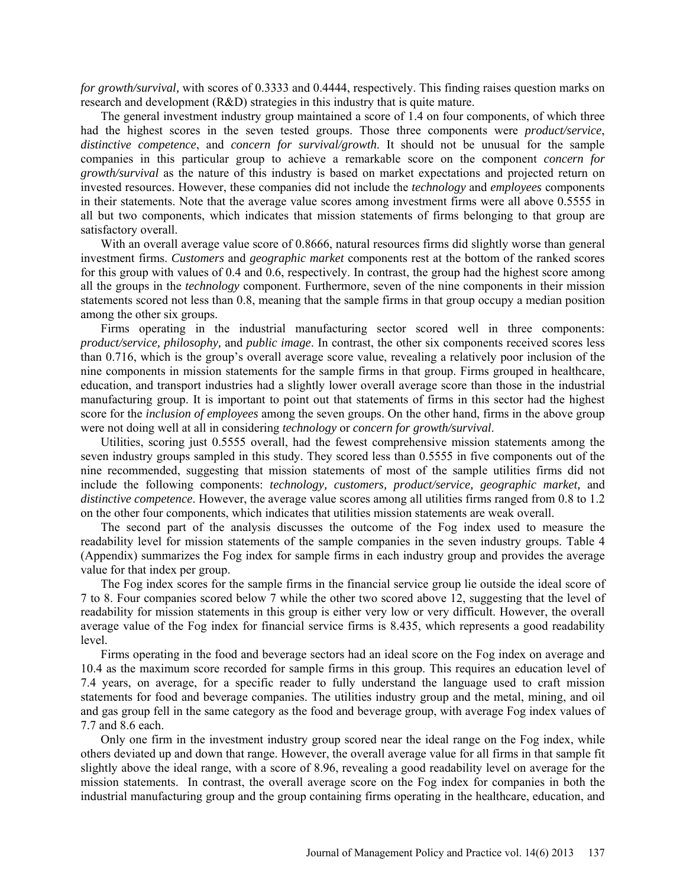*for growth/survival,* with scores of 0.3333 and 0.4444, respectively. This finding raises question marks on research and development (R&D) strategies in this industry that is quite mature.

The general investment industry group maintained a score of 1.4 on four components, of which three had the highest scores in the seven tested groups. Those three components were *product/service*, *distinctive competence*, and *concern for survival/growth*. It should not be unusual for the sample companies in this particular group to achieve a remarkable score on the component *concern for growth/survival* as the nature of this industry is based on market expectations and projected return on invested resources. However, these companies did not include the *technology* and *employees* components in their statements. Note that the average value scores among investment firms were all above 0.5555 in all but two components, which indicates that mission statements of firms belonging to that group are satisfactory overall.

With an overall average value score of 0.8666, natural resources firms did slightly worse than general investment firms. *Customers* and *geographic market* components rest at the bottom of the ranked scores for this group with values of 0.4 and 0.6, respectively. In contrast, the group had the highest score among all the groups in the *technology* component. Furthermore, seven of the nine components in their mission statements scored not less than 0.8, meaning that the sample firms in that group occupy a median position among the other six groups.

Firms operating in the industrial manufacturing sector scored well in three components: *product/service, philosophy,* and *public image*. In contrast, the other six components received scores less than 0.716, which is the group's overall average score value, revealing a relatively poor inclusion of the nine components in mission statements for the sample firms in that group. Firms grouped in healthcare, education, and transport industries had a slightly lower overall average score than those in the industrial manufacturing group. It is important to point out that statements of firms in this sector had the highest score for the *inclusion of employees* among the seven groups. On the other hand, firms in the above group were not doing well at all in considering *technology* or *concern for growth/survival*.

Utilities, scoring just 0.5555 overall, had the fewest comprehensive mission statements among the seven industry groups sampled in this study. They scored less than 0.5555 in five components out of the nine recommended, suggesting that mission statements of most of the sample utilities firms did not include the following components: *technology, customers, product/service, geographic market,* and *distinctive competence*. However, the average value scores among all utilities firms ranged from 0.8 to 1.2 on the other four components, which indicates that utilities mission statements are weak overall.

The second part of the analysis discusses the outcome of the Fog index used to measure the readability level for mission statements of the sample companies in the seven industry groups. Table 4 (Appendix) summarizes the Fog index for sample firms in each industry group and provides the average value for that index per group.

The Fog index scores for the sample firms in the financial service group lie outside the ideal score of 7 to 8. Four companies scored below 7 while the other two scored above 12, suggesting that the level of readability for mission statements in this group is either very low or very difficult. However, the overall average value of the Fog index for financial service firms is 8.435, which represents a good readability level.

Firms operating in the food and beverage sectors had an ideal score on the Fog index on average and 10.4 as the maximum score recorded for sample firms in this group. This requires an education level of 7.4 years, on average, for a specific reader to fully understand the language used to craft mission statements for food and beverage companies. The utilities industry group and the metal, mining, and oil and gas group fell in the same category as the food and beverage group, with average Fog index values of 7.7 and 8.6 each.

Only one firm in the investment industry group scored near the ideal range on the Fog index, while others deviated up and down that range. However, the overall average value for all firms in that sample fit slightly above the ideal range, with a score of 8.96, revealing a good readability level on average for the mission statements. In contrast, the overall average score on the Fog index for companies in both the industrial manufacturing group and the group containing firms operating in the healthcare, education, and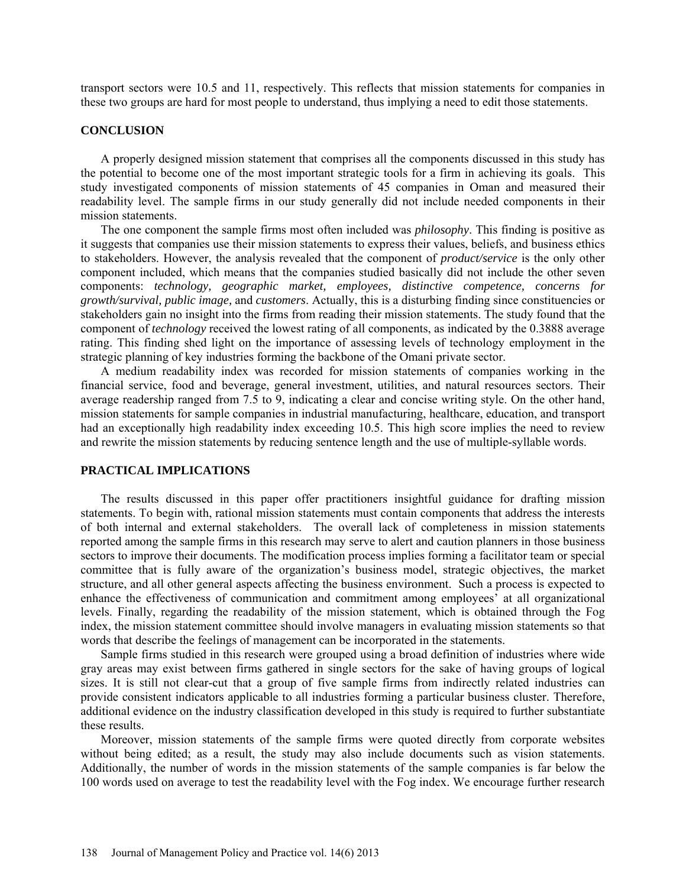transport sectors were 10.5 and 11, respectively. This reflects that mission statements for companies in these two groups are hard for most people to understand, thus implying a need to edit those statements.

#### **CONCLUSION**

A properly designed mission statement that comprises all the components discussed in this study has the potential to become one of the most important strategic tools for a firm in achieving its goals. This study investigated components of mission statements of 45 companies in Oman and measured their readability level. The sample firms in our study generally did not include needed components in their mission statements.

The one component the sample firms most often included was *philosophy*. This finding is positive as it suggests that companies use their mission statements to express their values, beliefs, and business ethics to stakeholders. However, the analysis revealed that the component of *product/service* is the only other component included, which means that the companies studied basically did not include the other seven components: *technology, geographic market, employees, distinctive competence, concerns for growth/survival, public image,* and *customers*. Actually, this is a disturbing finding since constituencies or stakeholders gain no insight into the firms from reading their mission statements. The study found that the component of *technology* received the lowest rating of all components, as indicated by the 0.3888 average rating. This finding shed light on the importance of assessing levels of technology employment in the strategic planning of key industries forming the backbone of the Omani private sector.

A medium readability index was recorded for mission statements of companies working in the financial service, food and beverage, general investment, utilities, and natural resources sectors. Their average readership ranged from 7.5 to 9, indicating a clear and concise writing style. On the other hand, mission statements for sample companies in industrial manufacturing, healthcare, education, and transport had an exceptionally high readability index exceeding 10.5. This high score implies the need to review and rewrite the mission statements by reducing sentence length and the use of multiple-syllable words.

#### **PRACTICAL IMPLICATIONS**

The results discussed in this paper offer practitioners insightful guidance for drafting mission statements. To begin with, rational mission statements must contain components that address the interests of both internal and external stakeholders. The overall lack of completeness in mission statements reported among the sample firms in this research may serve to alert and caution planners in those business sectors to improve their documents. The modification process implies forming a facilitator team or special committee that is fully aware of the organization's business model, strategic objectives, the market structure, and all other general aspects affecting the business environment. Such a process is expected to enhance the effectiveness of communication and commitment among employees' at all organizational levels. Finally, regarding the readability of the mission statement, which is obtained through the Fog index, the mission statement committee should involve managers in evaluating mission statements so that words that describe the feelings of management can be incorporated in the statements.

Sample firms studied in this research were grouped using a broad definition of industries where wide gray areas may exist between firms gathered in single sectors for the sake of having groups of logical sizes. It is still not clear-cut that a group of five sample firms from indirectly related industries can provide consistent indicators applicable to all industries forming a particular business cluster. Therefore, additional evidence on the industry classification developed in this study is required to further substantiate these results.

Moreover, mission statements of the sample firms were quoted directly from corporate websites without being edited; as a result, the study may also include documents such as vision statements. Additionally, the number of words in the mission statements of the sample companies is far below the 100 words used on average to test the readability level with the Fog index. We encourage further research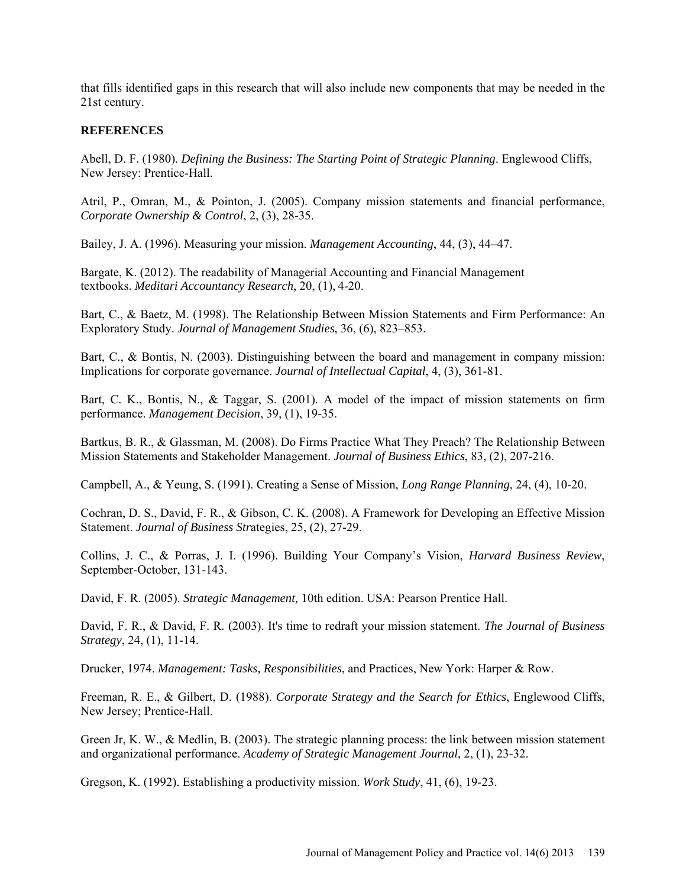that fills identified gaps in this research that will also include new components that may be needed in the 21st century.

### **REFERENCES**

Abell, D. F. (1980). *Defining the Business: The Starting Point of Strategic Planning*. Englewood Cliffs, New Jersey: Prentice-Hall.

Atril, P., Omran, M., & Pointon, J. (2005). Company mission statements and financial performance, *Corporate Ownership & Control*, 2, (3), 28-35.

Bailey, J. A. (1996). Measuring your mission. *Management Accounting*, 44, (3), 44–47.

Bargate, K. (2012). The readability of Managerial Accounting and Financial Management textbooks. *[Meditari Accountancy Research](http://ezproxy.squ.edu.om:2062/abicomplete/pubidlinkhandler/sng/pubtitle/Meditari+Accountancy+Research/$N/1386336/DocView/1031184406/abstract/13D88D15166348FF640/2?accountid=27575)*, [20, \(1\),](http://ezproxy.squ.edu.om:2062/abicomplete/indexingvolumeissuelinkhandler/1386336/Meditari+Accountancy+Research/02012Y01Y01$232012$3b++Vol.+20+$281$29/20/1?accountid=27575) 4-20.

Bart, C., & Baetz, M. (1998). The Relationship Between Mission Statements and Firm Performance: An Exploratory Study. *Journal of Management Studies*, 36, (6), 823–853.

Bart, C., & Bontis, N. (2003). Distinguishing between the board and management in company mission: Implications for corporate governance. *Journal of Intellectual Capital*, 4, (3), 361-81.

Bart, C. K., Bontis, N., & Taggar, S. (2001). A model of the impact of mission statements on firm performance. *Management Decision*, 39, (1), 19-35.

Bartkus, B. R., & Glassman, M. (2008). Do Firms Practice What They Preach? The Relationship Between Mission Statements and Stakeholder Management. *Journal of Business Ethics*, 83, (2), 207-216.

Campbell, A., & Yeung, S. (1991). Creating a Sense of Mission, *Long Range Planning*, 24, (4), 10-20.

Cochran, D. S., David, F. R., & Gibson, C. K. (2008). A Framework for Developing an Effective Mission Statement. *Journal of Business Str*ategies, 25, (2), 27-29.

Collins, J. C., & Porras, J. I. (1996). Building Your Company's Vision, *Harvard Business Review*, September-October, 131-143.

David, F. R. (2005). *Strategic Management,* 10th edition. USA: Pearson Prentice Hall.

David, F. R., & David, F. R. (2003). It's time to redraft your mission statement. *The Journal of Business Strategy*, 24, (1), 11-14.

Drucker, 1974. *Management: Tasks, Responsibilities*, and Practices, New York: Harper & Row.

Freeman, R. E., & Gilbert, D. (1988). *Corporate Strategy and the Search for Ethics*, Englewood Cliffs, New Jersey; Prentice-Hall.

Green Jr, K. W., & Medlin, B. (2003). The strategic planning process: the link between mission statement and organizational performance. *Academy of Strategic Management Journal*, 2, (1), 23-32.

[G](http://ezproxy.squ.edu.om:2062/abicomplete/indexingvolumeissuelinkhandler/1386336/Meditari+Accountancy+Research/02012Y01Y01$232012$3b++Vol.+20+$281$29/20/1?accountid=27575)regson, K. (1992). Establishing a productivity mission. *Work Study*, 41, (6), 19-23.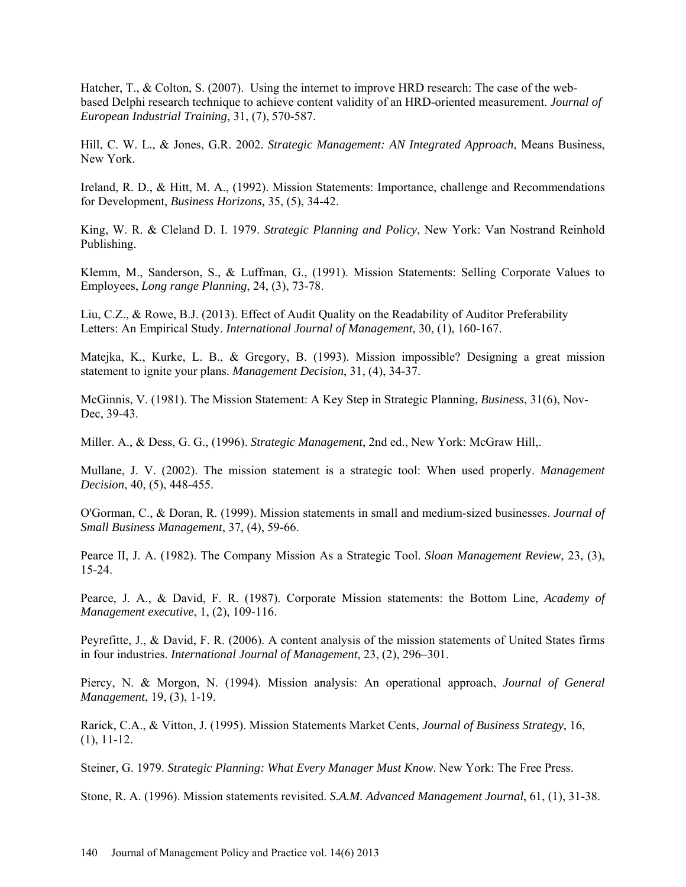Hatcher, T., & Colton, S. (2007). Using the internet to improve HRD research: The case of the webbased Delphi research technique to achieve content validity of an HRD-oriented measurement. *[Journal of](http://ezproxy.squ.edu.om:2062/abicomplete/pubidlinkhandler/sng/pubtitle/Journal+of+European+Industrial+Training/$N/37218/Results/215387586/$B/13D88D15166348FF640/3?accountid=27575)  [European Industrial Training](http://ezproxy.squ.edu.om:2062/abicomplete/pubidlinkhandler/sng/pubtitle/Journal+of+European+Industrial+Training/$N/37218/Results/215387586/$B/13D88D15166348FF640/3?accountid=27575)*[, 31, \(7\),](http://ezproxy.squ.edu.om:2062/abicomplete/pubidlinkhandler/sng/pubtitle/Journal+of+European+Industrial+Training/$N/37218/Results/215387586/$B/13D88D15166348FF640/3?accountid=27575) 570-587.

Hill, C. W. L., & Jones, G.R. 2002. *Strategic Management: AN Integrated Approach*, Means Business, New York.

Ireland, R. D., & Hitt, M. A., (1992). Mission Statements: Importance, challenge and Recommendations for Development, *Business Horizons,* 35, (5), 34-42.

King, W. R. & Cleland D. I. 1979. *Strategic Planning and Policy*, New York: Van Nostrand Reinhold Publishing.

Klemm, M., Sanderson, S., & Luffman, G., (1991). Mission Statements: Selling Corporate Values to Employees, *Long range Planning*, 24, (3), 73-78.

Liu, C.Z., & Rowe, B.J. (2013). Effect of Audit [Quality on the Readability of Auditor Preferability](http://ezproxy.squ.edu.om:2062/abicomplete/docview/1315137189/13D88D15166348FF640/1?accountid=27575)  [Letters: An Empirical Study.](http://ezproxy.squ.edu.om:2062/abicomplete/docview/1315137189/13D88D15166348FF640/1?accountid=27575) *International Journal of Management*, 30, (1), 160-167.

Matejka, K., Kurke, L. B., & Gregory, B. (1993). Mission impossible? Designing a great mission statement to ignite your plans. *Management Decision*, 31, (4), 34-37.

McGinnis, V. (1981). The Mission Statement: A Key Step in Strategic Planning, *Business*, 31(6), Nov-Dec, 39-43.

Miller. A., & Dess, G. G., (1996). *Strategic Management*, 2nd ed., New York: McGraw Hill,.

Mullane, J. V. (2002). The mission statement is a strategic tool: When used properly. *Management Decision*, 40, (5), 448-455.

O'Gorman, C., & Doran, R. (1999). Mission statements in small and medium-sized businesses. *Journal of Small Business Management*, 37, (4), 59-66.

Pearce II, J. A. (1982). The Company Mission As a Strategic Tool. *Sloan Management Review*, 23, (3), 15-24.

Pearce, J. A., & David, F. R. (1987). Corporate Mission statements: the Bottom Line, *Academy of Management executive*, 1, (2), 109-116.

Peyrefitte, J., & David, F. R. (2006). A content analysis of the mission statements of United States firms in four industries. *International Journal of Management*, 23, (2), 296–301.

Piercy, N. & Morgon, N. (1994). Mission analysis: An operational approach, *Journal of General Management*, 19, (3), 1-19.

Rarick, C.A., & Vitton, J. (1995). Mission Statements Market Cents, *Journal of Business Strategy*, 16, (1), 11-12.

Steiner, G. 1979. *Strategic Planning: What Every Manager Must Know*. New York: The Free Press.

[Stone, R. A. \(1996\). Mission statements revisited.](http://ezproxy.squ.edu.om:2062/abicomplete/indexingvolumeissuelinkhandler/37218/Journal+of+European+Industrial+Training/02007Y08Y31$232007$3b++Vol.+31+$287$29/31/7?accountid=27575) *S.A.M. Advanced Management Journal*, 61, (1), 31-38.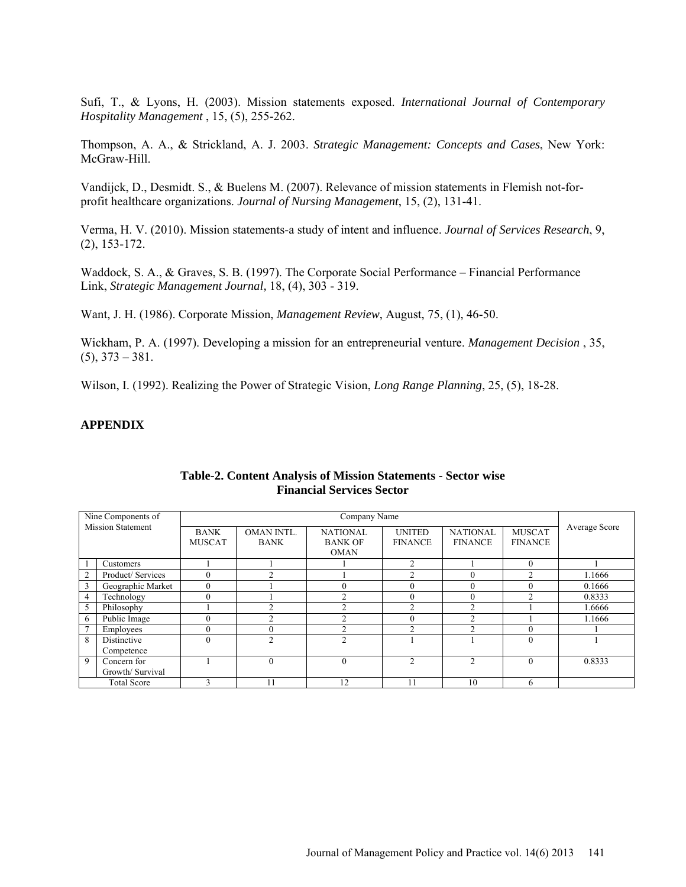Sufi, T., & Lyons, H. (2003). Mission statements exposed. *International Journal of Contemporary Hospitality Management* , 15, (5), 255-262.

Thompson, A. A., & Strickland, A. J. 2003. *Strategic Management: Concepts and Cases*, New York: McGraw-Hill.

[Vandijck, D.](http://www.ncbi.nlm.nih.gov/pubmed?term=Vandijck%20D%5BAuthor%5D&cauthor=true&cauthor_uid=17352695), [Desmidt. S.](http://www.ncbi.nlm.nih.gov/pubmed?term=Desmidt%20S%5BAuthor%5D&cauthor=true&cauthor_uid=17352695), & [Buelens M.](http://www.ncbi.nlm.nih.gov/pubmed?term=Buelens%20M%5BAuthor%5D&cauthor=true&cauthor_uid=17352695) (2007). Relevance of mission statements in Flemish not-forprofit healthcare organizations. *Journal of Nursing Management*, 15, (2), 131-41.

Verma, H. V. (2010). Mission statements-a study of intent and influence. *Journal of Services Research*, 9, (2), 153-172.

Waddock, S. A., & Graves, S. B. (1997). The Corporate Social Performance – Financial Performance Link, *Strategic Management Journal,* 18, (4), 303 - 319.

Want, J. H. (1986). Corporate Mission, *Management Review*, August, 75, (1), 46-50.

Wickham, P. A. (1997). Developing a mission for an entrepreneurial venture. *Management Decision* , 35,  $(5)$ ,  $373 - 381$ .

Wilson, I. (1992). Realizing the Power of Strategic Vision, *Long Range Planning*, 25, (5), 18-28.

### **APPENDIX**

|   | Nine Components of       |               |               | Company Name    |                   |                 |                |               |  |  |
|---|--------------------------|---------------|---------------|-----------------|-------------------|-----------------|----------------|---------------|--|--|
|   | <b>Mission Statement</b> | <b>BANK</b>   | OMAN INTL.    | <b>NATIONAL</b> | <b>UNITED</b>     | <b>NATIONAL</b> | <b>MUSCAT</b>  | Average Score |  |  |
|   |                          | <b>MUSCAT</b> | <b>BANK</b>   | <b>BANK OF</b>  | <b>FINANCE</b>    | <b>FINANCE</b>  | <b>FINANCE</b> |               |  |  |
|   |                          |               |               | <b>OMAN</b>     |                   |                 |                |               |  |  |
|   | Customers                |               |               |                 | $\overline{2}$    |                 | $\Omega$       |               |  |  |
| 2 | Product/ Services        | $\theta$      | ◠             |                 | $\mathcal{L}$     | $\Omega$        | ◠              | 1.1666        |  |  |
| 3 | Geographic Market        | $\theta$      |               |                 |                   | 0               |                | 0.1666        |  |  |
| 4 | Technology               | $\theta$      |               | C               | $\theta$          | $\theta$        | ⌒              | 0.8333        |  |  |
| 5 | Philosophy               |               | $\mathcal{L}$ | 2               | $\mathfrak{D}$    | ◠               |                | 1.6666        |  |  |
| 6 | Public Image             |               | ◠             | ↑               |                   | ↷               |                | 1.1666        |  |  |
|   | Employees                | $\theta$      |               | ↑               | $\mathbf{\hat{}}$ | ◠               |                |               |  |  |
| 8 | Distinctive              | $\theta$      | C             | $\overline{2}$  |                   |                 |                |               |  |  |
|   | Competence               |               |               |                 |                   |                 |                |               |  |  |
| 9 | Concern for              |               | $\theta$      | $\Omega$        | $\overline{c}$    | $\mathcal{D}$   | $\Omega$       | 0.8333        |  |  |
|   | Growth/ Survival         |               |               |                 |                   |                 |                |               |  |  |
|   | <b>Total Score</b>       | $\mathbf{a}$  | 11            | 12              |                   | 10              | 6              |               |  |  |

#### **Table-2. Content Analysis of Mission Statements - Sector wise Financial Services Sector**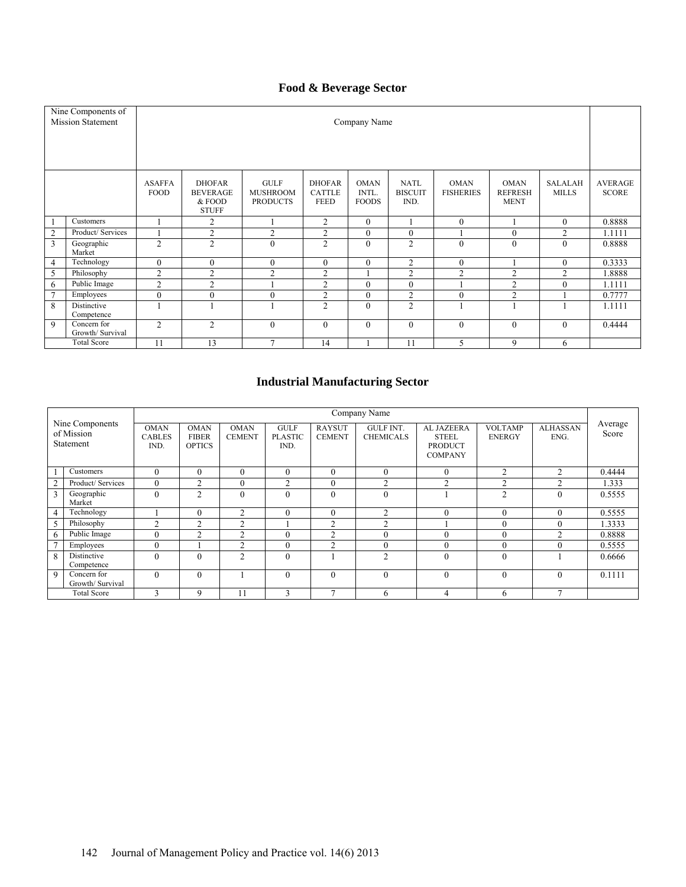# **Food & Beverage Sector**

|                | Nine Components of<br><b>Mission Statement</b>                                                                                                                                                                                                                                                                                                                                                         | Company Name   |                                                                                                                                  |                |                |              |              |                |                                |                |        |  |
|----------------|--------------------------------------------------------------------------------------------------------------------------------------------------------------------------------------------------------------------------------------------------------------------------------------------------------------------------------------------------------------------------------------------------------|----------------|----------------------------------------------------------------------------------------------------------------------------------|----------------|----------------|--------------|--------------|----------------|--------------------------------|----------------|--------|--|
|                | <b>GULF</b><br><b>ASAFFA</b><br><b>DHOFAR</b><br><b>DHOFAR</b><br><b>OMAN</b><br><b>NATL</b><br><b>OMAN</b><br><b>OMAN</b><br><b>SALALAH</b><br><b>FOOD</b><br><b>MUSHROOM</b><br><b>CATTLE</b><br>INTL.<br><b>BISCUIT</b><br><b>FISHERIES</b><br><b>REFRESH</b><br><b>MILLS</b><br><b>BEVERAGE</b><br><b>FEED</b><br><b>FOODS</b><br>IND.<br>& FOOD<br><b>PRODUCTS</b><br><b>MENT</b><br><b>STUFF</b> |                |                                                                                                                                  |                |                |              |              |                | <b>AVERAGE</b><br><b>SCORE</b> |                |        |  |
|                | Customers                                                                                                                                                                                                                                                                                                                                                                                              |                | 2                                                                                                                                |                | $\overline{2}$ | $\mathbf{0}$ |              | $\mathbf{0}$   |                                | $\mathbf{0}$   | 0.8888 |  |
| 2              | Product/ Services                                                                                                                                                                                                                                                                                                                                                                                      |                | 2                                                                                                                                | $\overline{2}$ | $\overline{2}$ | $\mathbf{0}$ | $\mathbf{0}$ |                | $\Omega$                       | 2              | 1.1111 |  |
| 3              | Geographic<br>Market                                                                                                                                                                                                                                                                                                                                                                                   | $\overline{2}$ | 2                                                                                                                                | $\mathbf{0}$   | $\overline{2}$ | $\theta$     | 2            | $\mathbf{0}$   | $\Omega$                       | $\theta$       | 0.8888 |  |
| $\overline{4}$ | Technology                                                                                                                                                                                                                                                                                                                                                                                             | $\mathbf{0}$   | $\mathbf{0}$                                                                                                                     | $\theta$       | $\mathbf{0}$   | $\theta$     | 2            | $\mathbf{0}$   |                                | $\mathbf{0}$   | 0.3333 |  |
| 5              | Philosophy                                                                                                                                                                                                                                                                                                                                                                                             | $\overline{2}$ | $\overline{2}$                                                                                                                   | $\overline{2}$ | $\overline{2}$ |              | 2            | $\overline{2}$ | $\overline{2}$                 | $\overline{2}$ | 1.8888 |  |
| 6              | Public Image                                                                                                                                                                                                                                                                                                                                                                                           | $\overline{2}$ | $\overline{2}$                                                                                                                   |                | $\overline{2}$ | $\mathbf{0}$ | $\theta$     |                | $\overline{2}$                 | $\Omega$       | 1.1111 |  |
| $\overline{7}$ | Employees                                                                                                                                                                                                                                                                                                                                                                                              | $\mathbf{0}$   | $\theta$                                                                                                                         | $\mathbf{0}$   | $\overline{2}$ | $\mathbf{0}$ | 2            | $\mathbf{0}$   | $\overline{2}$                 |                | 0.7777 |  |
| 8              | Distinctive<br>Competence                                                                                                                                                                                                                                                                                                                                                                              |                |                                                                                                                                  |                | $\overline{2}$ | $\theta$     | 2            |                |                                |                | 1.1111 |  |
| 9              | Concern for<br>Growth/ Survival                                                                                                                                                                                                                                                                                                                                                                        | $\overline{2}$ | $\overline{c}$<br>$\mathbf{0}$<br>$\mathbf{0}$<br>$\mathbf{0}$<br>$\mathbf{0}$<br>$\theta$<br>$\mathbf{0}$<br>$\Omega$<br>0.4444 |                |                |              |              |                |                                |                |        |  |
|                | <b>Total Score</b>                                                                                                                                                                                                                                                                                                                                                                                     | 11             | 13                                                                                                                               | $\overline{7}$ | 14             |              | 11           | 5              | 9                              | 6              |        |  |

# **Industrial Manufacturing Sector**

|                                            |                                 |                                      |                                              |                              |                                       |                                | Company Name                         |                                                                |                                 |                         |                  |
|--------------------------------------------|---------------------------------|--------------------------------------|----------------------------------------------|------------------------------|---------------------------------------|--------------------------------|--------------------------------------|----------------------------------------------------------------|---------------------------------|-------------------------|------------------|
| Nine Components<br>of Mission<br>Statement |                                 | <b>OMAN</b><br><b>CABLES</b><br>IND. | <b>OMAN</b><br><b>FIBER</b><br><b>OPTICS</b> | <b>OMAN</b><br><b>CEMENT</b> | <b>GULF</b><br><b>PLASTIC</b><br>IND. | <b>RAYSUT</b><br><b>CEMENT</b> | <b>GULF INT.</b><br><b>CHEMICALS</b> | AL JAZEERA<br><b>STEEL</b><br><b>PRODUCT</b><br><b>COMPANY</b> | <b>VOLTAMP</b><br><b>ENERGY</b> | <b>ALHASSAN</b><br>ENG. | Average<br>Score |
|                                            | Customers                       | $\Omega$                             | $\theta$                                     | $\theta$                     | $\theta$                              | $\theta$                       | $\theta$                             | $\theta$                                                       | $\overline{2}$                  | $\overline{c}$          | 0.4444           |
|                                            | Product/ Services               | $\sqrt{ }$                           | $\mathcal{L}$                                | $\theta$                     | $\overline{2}$                        | $\theta$                       | ◠                                    | $\mathcal{L}$                                                  | $\mathcal{D}$                   | $\mathcal{L}$           | 1.333            |
|                                            | Geographic<br>Market            | $\Omega$                             | $\mathcal{L}$                                | $\theta$                     | $\Omega$                              | $\theta$                       | $\Omega$                             |                                                                | $\overline{c}$                  | $\Omega$                | 0.5555           |
| 4                                          | Technology                      |                                      | $\theta$                                     | 2                            | $\theta$                              | $\theta$                       | $\overline{c}$                       | $\theta$                                                       | $\theta$                        | $\theta$                | 0.5555           |
|                                            | Philosophy                      | $\mathfrak{D}$                       | $\mathcal{D}$                                | $\mathfrak{D}$               |                                       | C                              | ↑                                    |                                                                | $\theta$                        | $\theta$                | 1.3333           |
| 6                                          | Public Image                    | $\Omega$                             | $\mathfrak{D}$                               | $\overline{c}$               | $\Omega$                              | $\overline{c}$                 | $\Omega$                             | $\theta$                                                       | $\theta$                        | $\mathfrak{D}$          | 0.8888           |
|                                            | Employees                       |                                      |                                              | $\mathfrak{D}$               | $\theta$                              | $\mathfrak{D}$                 | $\Omega$                             | $\theta$                                                       | $\Omega$                        | $\Omega$                | 0.5555           |
| 8                                          | Distinctive<br>Competence       |                                      | $\Omega$                                     | $\mathfrak{D}$               | $\theta$                              |                                | $\mathcal{L}$                        | $\theta$                                                       | $\theta$                        |                         | 0.6666           |
| $\mathbf Q$                                | Concern for<br>Growth/ Survival | $\Omega$                             | $\theta$                                     |                              | $\theta$                              | $\theta$                       | $\theta$                             | $\theta$                                                       | $\theta$                        | $\theta$                | 0.1111           |
|                                            | <b>Total Score</b>              |                                      | 9                                            |                              | $\mathbf{3}$                          | $\overline{ }$                 | 6                                    | 4                                                              | 6                               | Ξ                       |                  |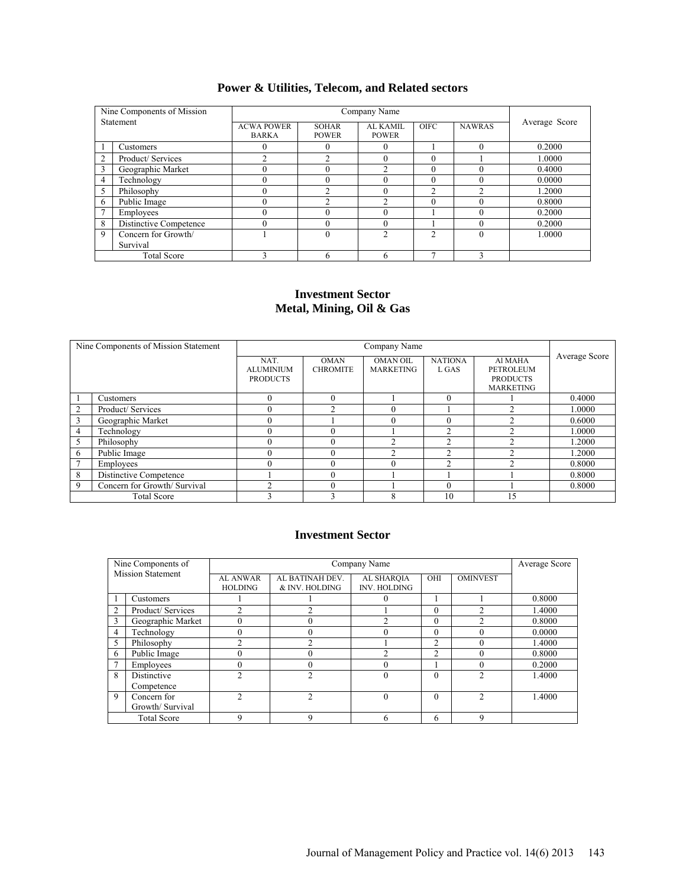| <b>Power &amp; Utilities, Telecom, and Related sectors</b> |  |  |  |  |  |
|------------------------------------------------------------|--|--|--|--|--|
|------------------------------------------------------------|--|--|--|--|--|

|   | Nine Components of Mission |                                   |                              | Company Name             |             |               |               |
|---|----------------------------|-----------------------------------|------------------------------|--------------------------|-------------|---------------|---------------|
|   | <b>Statement</b>           | <b>ACWA POWER</b><br><b>BARKA</b> | <b>SOHAR</b><br><b>POWER</b> | AL KAMIL<br><b>POWER</b> | <b>OIFC</b> | <b>NAWRAS</b> | Average Score |
|   | Customers                  |                                   |                              |                          |             |               | 0.2000        |
| 2 | Product/Services           |                                   |                              |                          |             |               | 1.0000        |
| 3 | Geographic Market          |                                   |                              |                          |             |               | 0.4000        |
| 4 | Technology                 |                                   |                              |                          |             | $\Omega$      | 0.0000        |
| 5 | Philosophy                 |                                   |                              |                          | ◠           | ◠             | 1.2000        |
| 6 | Public Image               |                                   |                              |                          |             |               | 0.8000        |
|   | Employees                  |                                   |                              |                          |             | $\theta$      | 0.2000        |
| 8 | Distinctive Competence     |                                   |                              |                          |             |               | 0.2000        |
| 9 | Concern for Growth/        |                                   |                              |                          |             |               | 1.0000        |
|   | Survival                   |                                   |                              |                          |             |               |               |
|   | <b>Total Score</b>         |                                   |                              |                          |             |               |               |

### **Investment Sector Metal, Mining, Oil & Gas**

|                | Nine Components of Mission Statement |                  |                 |                  |                |                  |               |
|----------------|--------------------------------------|------------------|-----------------|------------------|----------------|------------------|---------------|
|                |                                      | NAT.             | <b>OMAN</b>     | <b>OMAN OIL</b>  | <b>NATIONA</b> | Al MAHA          | Average Score |
|                |                                      | <b>ALUMINIUM</b> | <b>CHROMITE</b> | <b>MARKETING</b> | L GAS          | <b>PETROLEUM</b> |               |
|                |                                      | <b>PRODUCTS</b>  |                 |                  |                | <b>PRODUCTS</b>  |               |
|                |                                      |                  |                 |                  |                | <b>MARKETING</b> |               |
|                | Customers                            |                  |                 |                  | $\theta$       |                  | 0.4000        |
| $\overline{c}$ | Product/ Services                    |                  | ◠               |                  |                | ◠                | 1.0000        |
| 3              | Geographic Market                    |                  |                 |                  | $\theta$       | ◠                | 0.6000        |
| 4              | Technology                           |                  |                 |                  | ↑              | ↑                | 1.0000        |
| 5              | Philosophy                           |                  |                 |                  | $\overline{c}$ | ◠                | 1.2000        |
| 6              | Public Image                         |                  |                 | ◠                | ↑              | ◠                | 1.2000        |
|                | Employees                            |                  |                 | $\Omega$         | $\overline{c}$ |                  | 0.8000        |
| 8              | Distinctive Competence               |                  |                 |                  |                |                  | 0.8000        |
| 9              | Concern for Growth/ Survival         |                  |                 |                  | 0              |                  | 0.8000        |
|                | <b>Total Score</b>                   |                  |                 |                  | 10             | 15               |               |

### **Investment Sector**

|                          | Nine Components of |                                   |                                  | Company Name                      |                |                 | Average Score |
|--------------------------|--------------------|-----------------------------------|----------------------------------|-----------------------------------|----------------|-----------------|---------------|
| <b>Mission Statement</b> |                    | <b>AL ANWAR</b><br><b>HOLDING</b> | AL BATINAH DEV<br>& INV. HOLDING | AL SHAROIA<br><b>INV. HOLDING</b> | OHI            | <b>OMINVEST</b> |               |
|                          | Customers          |                                   |                                  |                                   |                |                 | 0.8000        |
| $\overline{2}$           | Product/Services   |                                   |                                  |                                   | $\theta$       | ↑               | 1.4000        |
|                          | Geographic Market  |                                   | υ                                | ◠                                 | $\theta$       | ◠               | 0.8000        |
| $\overline{4}$           | Technology         |                                   | $\theta$                         | $\Omega$                          | $\Omega$       |                 | 0.0000        |
|                          | Philosophy         | ◠                                 | ↑                                |                                   | $\mathfrak{D}$ |                 | 1.4000        |
| 6                        | Public Image       |                                   | $\Omega$                         | ↑                                 | $\mathfrak{D}$ |                 | 0.8000        |
|                          | Employees          |                                   | $\theta$                         | 0                                 |                |                 | 0.2000        |
| 8                        | Distinctive        |                                   |                                  | $\theta$                          | $\Omega$       | ◠               | 1.4000        |
|                          | Competence         |                                   |                                  |                                   |                |                 |               |
| 9                        | Concern for        | <u>າ</u>                          | $\mathfrak{D}$                   | $\theta$                          | $\theta$       | $\mathcal{D}$   | 1.4000        |
| Growth/Survival          |                    |                                   |                                  |                                   |                |                 |               |
|                          | <b>Total Score</b> | q                                 | 9                                | h                                 | 6              | 9               |               |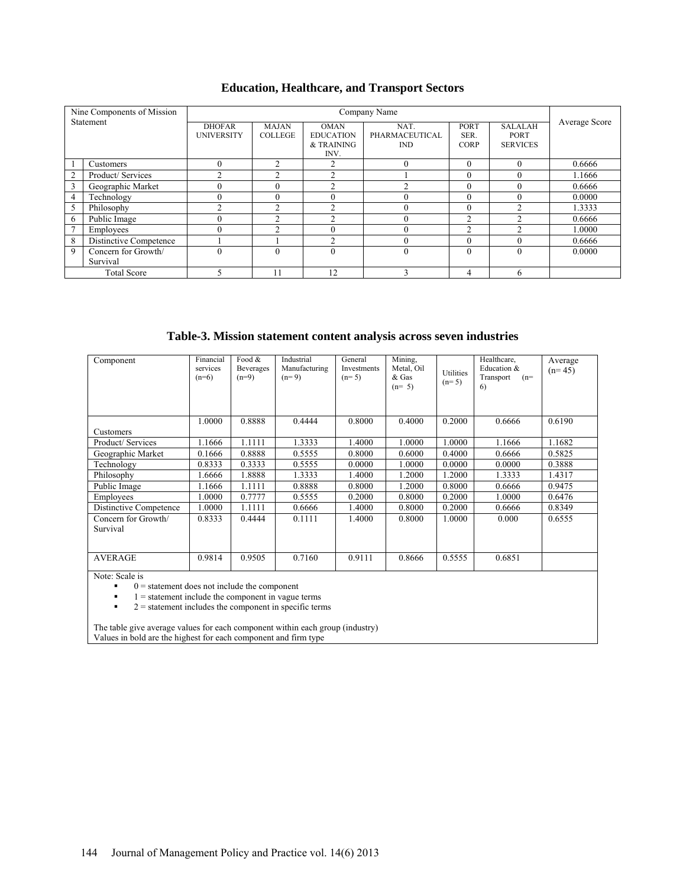| <b>Education, Healthcare, and Transport Sectors</b> |  |  |  |
|-----------------------------------------------------|--|--|--|
|-----------------------------------------------------|--|--|--|

|                | Nine Components of Mission |                   |                   |                                        |                              |                     |                         |               |
|----------------|----------------------------|-------------------|-------------------|----------------------------------------|------------------------------|---------------------|-------------------------|---------------|
|                | Statement                  | <b>DHOFAR</b>     | <b>MAJAN</b>      | <b>OMAN</b>                            | NAT.                         | PORT                | <b>SALALAH</b>          | Average Score |
|                |                            | <b>UNIVERSITY</b> | <b>COLLEGE</b>    | <b>EDUCATION</b><br>& TRAINING<br>INV. | PHARMACEUTICAL<br><b>IND</b> | SER.<br><b>CORP</b> | PORT<br><b>SERVICES</b> |               |
|                | Customers                  | $\Omega$          | $\mathfrak{D}$    | 2                                      | $\theta$                     | $\theta$            | 0                       | 0.6666        |
| $\overline{2}$ | Product/Services           | ⌒                 | ◠                 | C                                      |                              | $\theta$            |                         | 1.1666        |
| 3              | Geographic Market          | 0                 | $\theta$          | $\overline{c}$                         | ◠                            | $\theta$            |                         | 0.6666        |
| $\overline{4}$ | Technology                 | $\Omega$          | $\theta$          | $\theta$                               | $\theta$                     | $\theta$            | $\theta$                | 0.0000        |
| 5              | Philosophy                 | ◠                 | $\mathbf{\hat{}}$ | $\mathcal{D}$                          | 0                            | $\theta$            | $\mathbf{\hat{}}$       | 1.3333        |
| 6              | Public Image               |                   | $\Omega$          | ↑                                      | $\theta$                     | $\overline{c}$      |                         | 0.6666        |
| $\overline{7}$ | Employees                  | $\Omega$          | $\mathfrak{D}$    | $\Omega$                               | $\theta$                     | $\overline{c}$      |                         | 1.0000        |
| 8              | Distinctive Competence     |                   |                   | $\mathcal{D}$                          | $\theta$                     | $\theta$            | $\Omega$                | 0.6666        |
| 9              | Concern for Growth/        | $\Omega$          | $\theta$          | $\theta$                               | $\theta$                     | $\theta$            | $\Omega$                | 0.0000        |
|                | Survival                   |                   |                   |                                        |                              |                     |                         |               |
|                | <b>Total Score</b>         |                   |                   | 12                                     | ς                            | 4                   | h                       |               |

### **Table-3. Mission statement content analysis across seven industries**

| Component              | Financial<br>services<br>$(n=6)$ | Food $&$<br><b>Beverages</b><br>$(n=9)$ | Industrial<br>Manufacturing<br>$(n=9)$ | General<br>Investments<br>$(n=5)$ | Mining,<br>Metal, Oil<br>& Gas<br>$(n=5)$ | Utilities<br>$(n=5)$ | Healthcare,<br>Education &<br>Transport<br>$(n=$<br>6) | Average<br>$(n=45)$ |
|------------------------|----------------------------------|-----------------------------------------|----------------------------------------|-----------------------------------|-------------------------------------------|----------------------|--------------------------------------------------------|---------------------|
|                        | 1.0000                           | 0.8888                                  | 0.4444                                 | 0.8000                            | 0.4000                                    | 0.2000               | 0.6666                                                 | 0.6190              |
| Customers              |                                  |                                         |                                        |                                   |                                           |                      |                                                        |                     |
| Product/Services       | 1.1666                           | 1.1111                                  | 1.3333                                 | 1.4000                            | 1.0000                                    | 1.0000               | 1.1666                                                 | 1.1682              |
| Geographic Market      | 0.1666                           | 0.8888                                  | 0.5555                                 | 0.8000                            | 0.6000                                    | 0.4000               | 0.6666                                                 | 0.5825              |
| Technology             | 0.8333                           | 0.3333                                  | 0.5555                                 | 0.0000                            | 1.0000                                    | 0.0000               | 0.0000                                                 | 0.3888              |
| Philosophy             | .6666                            | 1.8888                                  | 1.3333                                 | 1.4000                            | 1.2000                                    | 1.2000               | 1.3333                                                 | 1.4317              |
| Public Image           | 1666.                            | 1.1111                                  | 0.8888                                 | 0.8000                            | 1.2000                                    | 0.8000               | 0.6666                                                 | 0.9475              |
| Employees              | .0000                            | 0.7777                                  | 0.5555                                 | 0.2000                            | 0.8000                                    | 0.2000               | 1.0000                                                 | 0.6476              |
| Distinctive Competence | .0000                            | 1.1111                                  | 0.6666                                 | 1.4000                            | 0.8000                                    | 0.2000               | 0.6666                                                 | 0.8349              |
| Concern for Growth/    | 0.8333                           | 0.4444                                  | 0.1111                                 | 1.4000                            | 0.8000                                    | 1.0000               | 0.000                                                  | 0.6555              |
| Survival               |                                  |                                         |                                        |                                   |                                           |                      |                                                        |                     |
|                        |                                  |                                         |                                        |                                   |                                           |                      |                                                        |                     |
| <b>AVERAGE</b>         | 0.9814                           | 0.9505                                  | 0.7160                                 | 0.9111                            | 0.8666                                    | 0.5555               | 0.6851                                                 |                     |

Note: Scale is  $0 =$ 

 $0 =$  statement does not include the component<br> $1 =$  statement include the component in vague

 $\blacksquare$  = statement include the component in vague terms<br> $\blacksquare$  = statement includes the component in specific term

 $2 =$  statement includes the component in specific terms

The table give average values for each component within each group (industry) Values in bold are the highest for each component and firm type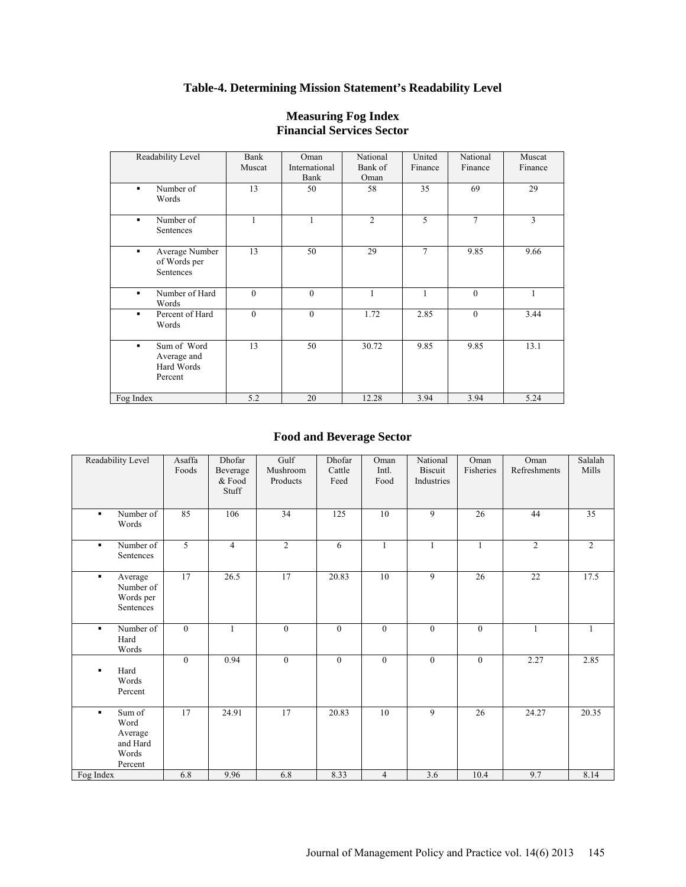# **Table-4. Determining Mission Statement's Readability Level**

| Readability Level                                   | Bank<br>Muscat | Oman<br>International<br>Bank | National<br>Bank of<br>Oman | United<br>Finance | National<br>Finance | Muscat<br>Finance |
|-----------------------------------------------------|----------------|-------------------------------|-----------------------------|-------------------|---------------------|-------------------|
| Number of<br>٠<br>Words                             | 13             | 50                            | 58                          | 35                | 69                  | 29                |
| Number of<br>Sentences                              | 1              |                               | $\overline{c}$              | 5                 | 7                   | $\overline{3}$    |
| Average Number<br>٠<br>of Words per<br>Sentences    | 13             | 50                            | 29                          | $\tau$            | 9.85                | 9.66              |
| Number of Hard<br>٠<br>Words                        | $\theta$       | $\mathbf{0}$                  | 1                           | 1                 | $\mathbf{0}$        | 1                 |
| Percent of Hard<br>٠<br>Words                       | $\mathbf{0}$   | $\mathbf{0}$                  | 1.72                        | 2.85              | $\mathbf{0}$        | 3.44              |
| Sum of Word<br>Average and<br>Hard Words<br>Percent | 13             | 50                            | 30.72                       | 9.85              | 9.85                | 13.1              |
| Fog Index                                           | 5.2            | 20                            | 12.28                       | 3.94              | 3.94                | 5.24              |

### **Measuring Fog Index Financial Services Sector**

# **Food and Beverage Sector**

| Readability Level                                              | Asaffa<br>Foods | Dhofar<br>Beverage<br>& Food<br>Stuff | Gulf<br>Mushroom<br>Products | Dhofar<br>Cattle<br>Feed | Oman<br>Intl.<br>Food | National<br><b>Biscuit</b><br>Industries | Oman<br>Fisheries | Oman<br>Refreshments | Salalah<br>Mills |
|----------------------------------------------------------------|-----------------|---------------------------------------|------------------------------|--------------------------|-----------------------|------------------------------------------|-------------------|----------------------|------------------|
| Number of<br>٠<br>Words                                        | 85              | 106                                   | $\overline{34}$              | 125                      | 10                    | 9                                        | 26                | 44                   | $\overline{35}$  |
| Number of<br>٠<br>Sentences                                    | $\overline{5}$  | $\overline{4}$                        | $\overline{2}$               | 6                        |                       | $\mathbf{1}$                             | $\mathbf{1}$      | 2                    | 2                |
| Average<br>٠<br>Number of<br>Words per<br>Sentences            | 17              | 26.5                                  | 17                           | 20.83                    | 10                    | 9                                        | 26                | 22                   | 17.5             |
| Number of<br>٠.<br>Hard<br>Words                               | $\theta$        | $\mathbf{1}$                          | $\mathbf{0}$                 | $\Omega$                 | $\mathbf{0}$          | $\mathbf{0}$                             | $\theta$          | $\mathbf{1}$         | $\mathbf{1}$     |
| Hard<br>٠<br>Words<br>Percent                                  | $\mathbf{0}$    | 0.94                                  | $\boldsymbol{0}$             | $\overline{0}$           | $\mathbf{0}$          | $\boldsymbol{0}$                         | $\mathbf{0}$      | 2.27                 | 2.85             |
| Sum of<br>٠<br>Word<br>Average<br>and Hard<br>Words<br>Percent | 17              | 24.91                                 | 17                           | 20.83                    | 10                    | 9                                        | 26                | 24.27                | 20.35            |
| Fog Index                                                      | 6.8             | 9.96                                  | 6.8                          | 8.33                     | $\overline{4}$        | 3.6                                      | 10.4              | 9.7                  | 8.14             |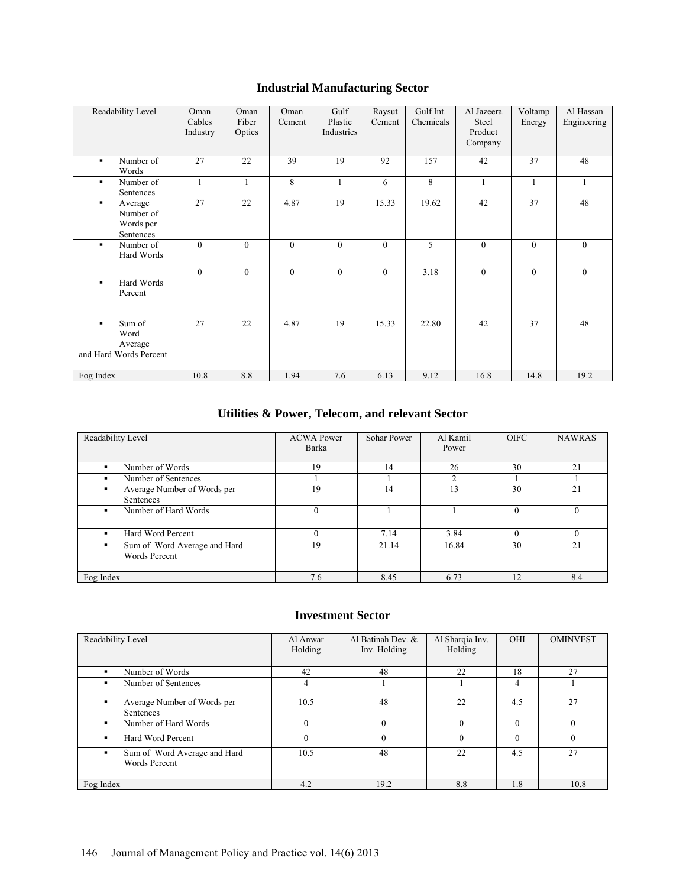# **Industrial Manufacturing Sector**

| Readability Level                                                     | Oman<br>Cables<br>Industry | Oman<br>Fiber<br>Optics | Oman<br>Cement | Gulf<br>Plastic<br>Industries | Raysut<br>Cement | Gulf Int.<br>Chemicals | Al Jazeera<br>Steel<br>Product<br>Company | Voltamp<br>Energy | Al Hassan<br>Engineering |
|-----------------------------------------------------------------------|----------------------------|-------------------------|----------------|-------------------------------|------------------|------------------------|-------------------------------------------|-------------------|--------------------------|
| Number of<br>٠<br>Words                                               | $\overline{27}$            | 22                      | 39             | 19                            | 92               | 157                    | 42                                        | 37                | 48                       |
| Number of<br>$\blacksquare$<br>Sentences                              | $\mathbf{1}$               | 1                       | 8              |                               | 6                | 8                      |                                           | 1                 |                          |
| Average<br>٠.<br>Number of<br>Words per<br>Sentences                  | 27                         | 22                      | 4.87           | 19                            | 15.33            | 19.62                  | 42                                        | 37                | 48                       |
| Number of<br>٠<br>Hard Words                                          | $\theta$                   | $\overline{0}$          | $\mathbf{0}$   | $\Omega$                      | $\theta$         | 5                      | $\theta$                                  | $\theta$          | $\theta$                 |
| Hard Words<br>п<br>Percent                                            | $\mathbf{0}$               | $\overline{0}$          | $\mathbf{0}$   | $\theta$                      | $\overline{0}$   | 3.18                   | $\mathbf{0}$                              | $\mathbf{0}$      | $\mathbf{0}$             |
| Sum of<br>$\blacksquare$<br>Word<br>Average<br>and Hard Words Percent | 27                         | 22                      | 4.87           | 19                            | 15.33            | 22.80                  | 42                                        | 37                | 48                       |
| Fog Index                                                             | 10.8                       | 8.8                     | 1.94           | 7.6                           | 6.13             | 9.12                   | 16.8                                      | 14.8              | 19.2                     |

# **Utilities & Power, Telecom, and relevant Sector**

| Readability Level                                    | <b>ACWA Power</b><br>Barka | Sohar Power | Al Kamil<br>Power | <b>OIFC</b> | <b>NAWRAS</b> |
|------------------------------------------------------|----------------------------|-------------|-------------------|-------------|---------------|
| Number of Words                                      | 19                         | 14          | 26                | 30          | 21            |
| Number of Sentences                                  |                            |             | ◠                 |             |               |
| Average Number of Words per<br>٠<br>Sentences        | 19                         | 14          | 13                | 30          | 21            |
| Number of Hard Words<br>٠                            | $\theta$                   |             |                   | $\Omega$    |               |
| Hard Word Percent<br>п                               |                            | 7.14        | 3.84              |             |               |
| Sum of Word Average and Hard<br><b>Words Percent</b> | 19                         | 21.14       | 16.84             | 30          | 21            |
| Fog Index                                            | 7.6                        | 8.45        | 6.73              | 12          | 8.4           |

#### **Investment Sector**

| Readability Level                                         | Al Anwar<br>Holding | Al Batinah Dev. &<br>Inv. Holding | Al Sharqia Inv.<br>Holding | OHI      | <b>OMINVEST</b> |
|-----------------------------------------------------------|---------------------|-----------------------------------|----------------------------|----------|-----------------|
| Number of Words                                           | 42                  | 48                                | 22                         | 18       | 27              |
| Number of Sentences                                       | 4                   |                                   |                            | 4        |                 |
| Average Number of Words per<br>Sentences                  | 10.5                | 48                                | 22                         | 4.5      | 27              |
| Number of Hard Words<br>٠                                 | $\theta$            | $\Omega$                          | $\Omega$                   | $\Omega$ | $\Omega$        |
| Hard Word Percent                                         | $\theta$            | $\Omega$                          | $\Omega$                   | $\theta$ | $\Omega$        |
| Sum of Word Average and Hard<br>٠<br><b>Words Percent</b> | 10.5                | 48                                | 22                         | 4.5      | 27              |
| Fog Index                                                 | 4.2                 | 19.2                              | 8.8                        | 1.8      | 10.8            |